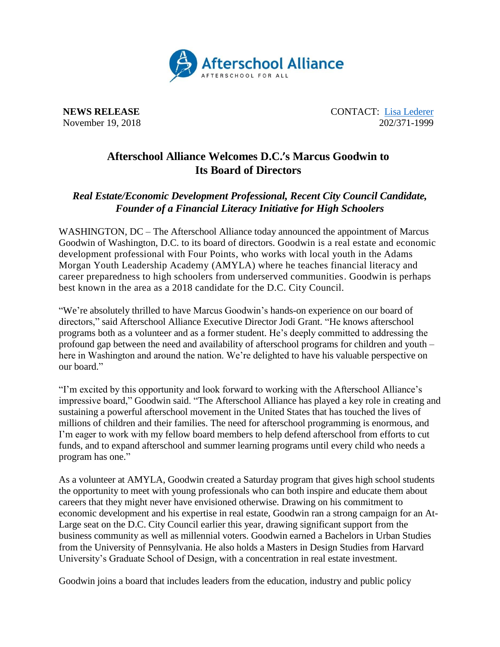

**NEWS RELEASE** CONTACT: [Lisa Lederer](mailto:lisa@prsolutionsdc.com) November 19, 2018 202/371-1999

## **Afterschool Alliance Welcomes D.C.'s Marcus Goodwin to Its Board of Directors**

## *Real Estate/Economic Development Professional, Recent City Council Candidate, Founder of a Financial Literacy Initiative for High Schoolers*

WASHINGTON, DC – The Afterschool Alliance today announced the appointment of Marcus Goodwin of Washington, D.C. to its board of directors. Goodwin is a real estate and economic development professional with Four Points, who works with local youth in the Adams Morgan Youth Leadership Academy (AMYLA) where he teaches financial literacy and career preparedness to high schoolers from underserved communities. Goodwin is perhaps best known in the area as a 2018 candidate for the D.C. City Council.

"We're absolutely thrilled to have Marcus Goodwin's hands-on experience on our board of directors," said Afterschool Alliance Executive Director Jodi Grant. "He knows afterschool programs both as a volunteer and as a former student. He's deeply committed to addressing the profound gap between the need and availability of afterschool programs for children and youth – here in Washington and around the nation. We're delighted to have his valuable perspective on our board."

"I'm excited by this opportunity and look forward to working with the Afterschool Alliance's impressive board," Goodwin said. "The Afterschool Alliance has played a key role in creating and sustaining a powerful afterschool movement in the United States that has touched the lives of millions of children and their families. The need for afterschool programming is enormous, and I'm eager to work with my fellow board members to help defend afterschool from efforts to cut funds, and to expand afterschool and summer learning programs until every child who needs a program has one."

As a volunteer at AMYLA, Goodwin created a Saturday program that gives high school students the opportunity to meet with young professionals who can both inspire and educate them about careers that they might never have envisioned otherwise. Drawing on his commitment to economic development and his expertise in real estate, Goodwin ran a strong campaign for an At-Large seat on the D.C. City Council earlier this year, drawing significant support from the business community as well as millennial voters. Goodwin earned a Bachelors in Urban Studies from the University of Pennsylvania. He also holds a Masters in Design Studies from Harvard University's Graduate School of Design, with a concentration in real estate investment.

Goodwin joins a board that includes leaders from the education, industry and public policy